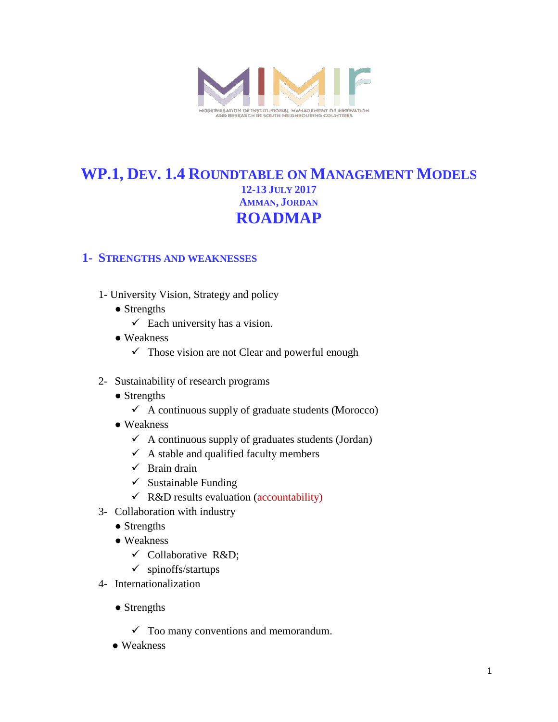

# **WP.1, DEV. 1.4 ROUNDTABLE ON MANAGEMENT MODELS 12-13 JULY 2017 AMMAN, JORDAN ROADMAP**

#### **1- STRENGTHS AND WEAKNESSES**

- 1- University Vision, Strategy and policy
	- Strengths
		- $\checkmark$  Each university has a vision.
	- Weakness
		- $\checkmark$  Those vision are not Clear and powerful enough
- 2- Sustainability of research programs
	- Strengths
		- $\checkmark$  A continuous supply of graduate students (Morocco)
	- Weakness
		- $\checkmark$  A continuous supply of graduates students (Jordan)
		- $\checkmark$  A stable and qualified faculty members
		- $\checkmark$  Brain drain
		- $\checkmark$  Sustainable Funding
		- $\checkmark$  R&D results evaluation (accountability)
- 3- Collaboration with industry
	- Strengths
	- Weakness
		- $\checkmark$  Collaborative R&D;
		- $\checkmark$  spinoffs/startups
- 4- Internationalization
	- Strengths
		- $\checkmark$  Too many conventions and memorandum.
	- Weakness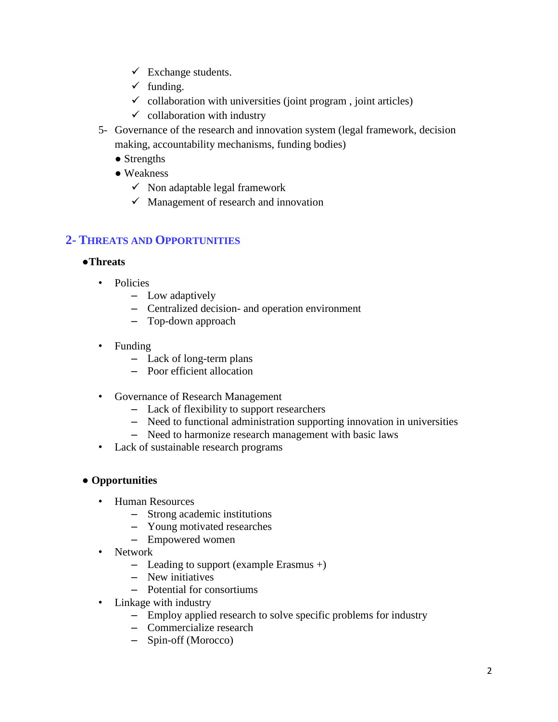- $\checkmark$  Exchange students.
- $\checkmark$  funding.
- $\checkmark$  collaboration with universities (joint program, joint articles)
- $\checkmark$  collaboration with industry
- 5- Governance of the research and innovation system (legal framework, decision making, accountability mechanisms, funding bodies)
	- Strengths
	- Weakness
		- $\checkmark$  Non adaptable legal framework
		- $\checkmark$  Management of research and innovation

### **2- THREATS AND OPPORTUNITIES**

#### ●**Threats**

- Policies
	- Low adaptively
	- Centralized decision- and operation environment
	- Top-down approach
- Funding
	- Lack of long-term plans
	- Poor efficient allocation
- Governance of Research Management
	- Lack of flexibility to support researchers
	- Need to functional administration supporting innovation in universities
	- Need to harmonize research management with basic laws
- Lack of sustainable research programs

#### ● **Opportunities**

- Human Resources
	- Strong academic institutions
	- Young motivated researches
	- Empowered women
- Network
	- Leading to support (example Erasmus +)
	- New initiatives
	- Potential for consortiums
- Linkage with industry
	- Employ applied research to solve specific problems for industry
	- Commercialize research
	- Spin-off (Morocco)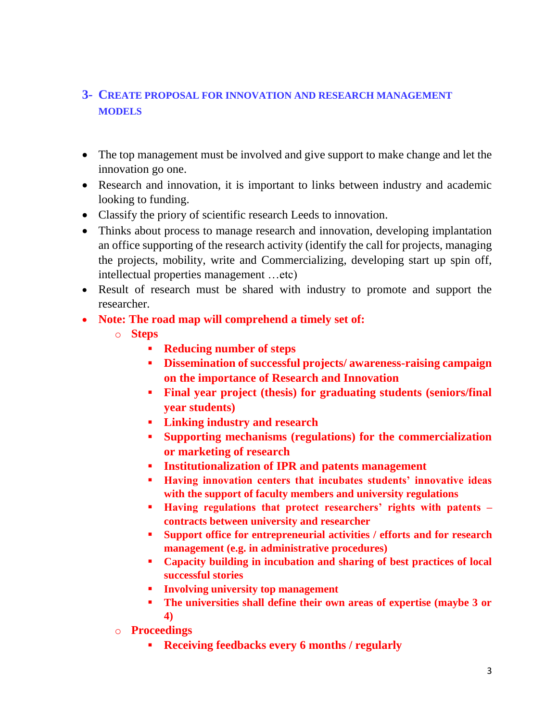## **3- CREATE PROPOSAL FOR INNOVATION AND RESEARCH MANAGEMENT MODELS**

- The top management must be involved and give support to make change and let the innovation go one.
- Research and innovation, it is important to links between industry and academic looking to funding.
- Classify the priory of scientific research Leeds to innovation.
- Thinks about process to manage research and innovation, developing implantation an office supporting of the research activity (identify the call for projects, managing the projects, mobility, write and Commercializing, developing start up spin off, intellectual properties management …etc)
- Result of research must be shared with industry to promote and support the researcher.
- **Note: The road map will comprehend a timely set of:**
	- o **Steps**
		- **Reducing number of steps**
		- **Dissemination of successful projects/ awareness-raising campaign on the importance of Research and Innovation**
		- **Final year project (thesis) for graduating students (seniors/final year students)**
		- **Linking industry and research**
		- **Supporting mechanisms (regulations) for the commercialization or marketing of research**
		- **Institutionalization of IPR and patents management**
		- **Having innovation centers that incubates students' innovative ideas with the support of faculty members and university regulations**
		- **Having regulations that protect researchers' rights with patents contracts between university and researcher**
		- **Support office for entrepreneurial activities / efforts and for research management (e.g. in administrative procedures)**
		- **Capacity building in incubation and sharing of best practices of local successful stories**
		- **Involving university top management**
		- **The universities shall define their own areas of expertise (maybe 3 or 4)**
	- o **Proceedings**
		- **Receiving feedbacks every 6 months / regularly**